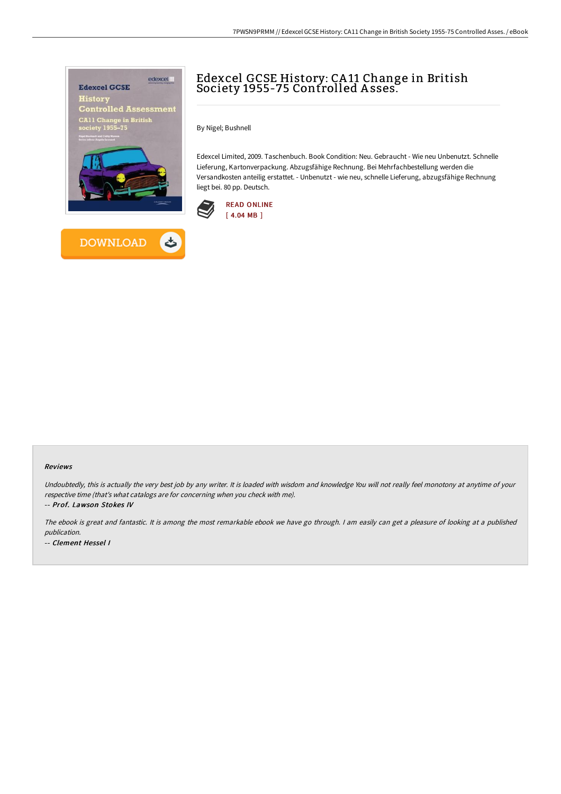



## Edexcel GCSE History: CA 11 Change in British Society 1955-75 Controlled A sses.

By Nigel; Bushnell

Edexcel Limited, 2009. Taschenbuch. Book Condition: Neu. Gebraucht - Wie neu Unbenutzt. Schnelle Lieferung, Kartonverpackung. Abzugsfähige Rechnung. Bei Mehrfachbestellung werden die Versandkosten anteilig erstattet. - Unbenutzt - wie neu, schnelle Lieferung, abzugsfähige Rechnung liegt bei. 80 pp. Deutsch.



## Reviews

Undoubtedly, this is actually the very best job by any writer. It is loaded with wisdom and knowledge You will not really feel monotony at anytime of your respective time (that's what catalogs are for concerning when you check with me).

-- Prof. Lawson Stokes IV

The ebook is great and fantastic. It is among the most remarkable ebook we have go through. <sup>I</sup> am easily can get <sup>a</sup> pleasure of looking at <sup>a</sup> published publication. -- Clement Hessel I